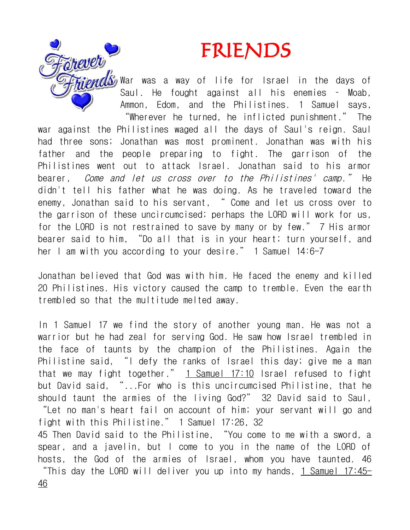## FRIENDS



War was a way of life for Israel in the days of Saul. He fought against all his enemies – Moab, Ammon, Edom, and the Philistines. 1 Samuel says, "Wherever he turned, he inflicted punishment." The war against the Philistines waged all the days of Saul's reign. Saul had three sons; Jonathan was most prominent. Jonathan was with his father and the people preparing to fight. The garrison of the Philistines went out to attack Israel. Jonathan said to his armor bearer, Come and let us cross over to the Philistines' camp." He didn't tell his father what he was doing. As he traveled toward the enemy, Jonathan said to his servant, " Come and let us cross over to the garrison of these uncircumcised; perhaps the LORD will work for us, for the LORD is not restrained to save by many or by few." 7 His armor bearer said to him, "Do all that is in your heart; turn yourself, and her I am with you according to your desire." 1 Samuel 14:6-7

Jonathan believed that God was with him. He faced the enemy and killed 20 Philistines. His victory caused the camp to tremble. Even the earth trembled so that the multitude melted away.

In 1 Samuel 17 we find the story of another young man. He was not a warrior but he had zeal for serving God. He saw how Israel trembled in the face of taunts by the champion of the Philistines. Again the Philistine said, "I defy the ranks of Israel this day; give me a man that we may fight together."  $1$  Samuel 17:10 Israel refused to fight but David said, "...For who is this uncircumcised Philistine, that he should taunt the armies of the living God?" 32 David said to Saul, "Let no man's heart fail on account of him; your servant will go and fight with this Philistine." 1 Samuel 17:26, 32 45 Then David said to the Philistine, "You come to me with a sword, a spear, and a javelin, but I come to you in the name of the LORD of hosts, the God of the armies of Israel, whom you have taunted. 46

"This day the LORD will deliver you up into my hands, 1 Samuel  $17:45-$ 46